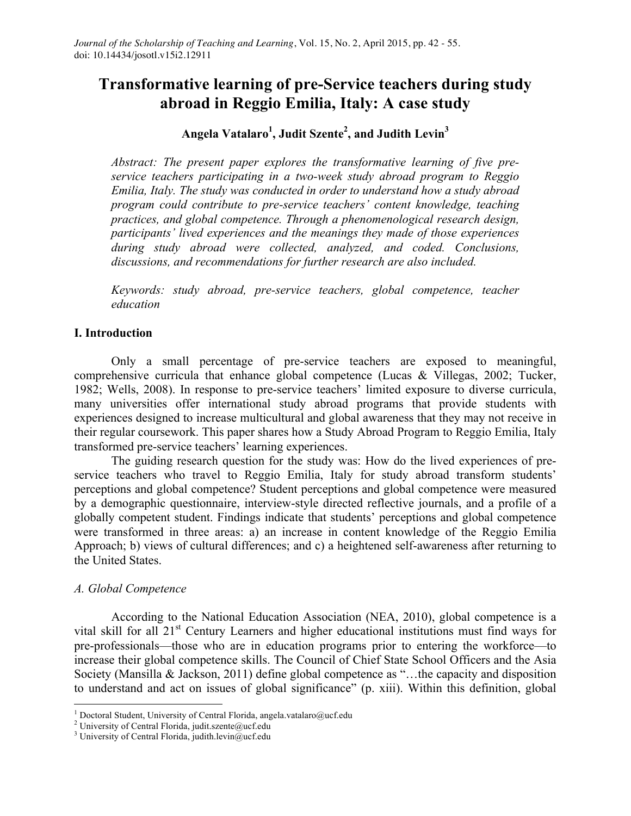# **Transformative learning of pre-Service teachers during study abroad in Reggio Emilia, Italy: A case study**

# **Angela Vatalaro1 , Judit Szente2 , and Judith Levin<sup>3</sup>**

*Abstract: The present paper explores the transformative learning of five preservice teachers participating in a two-week study abroad program to Reggio Emilia, Italy. The study was conducted in order to understand how a study abroad program could contribute to pre-service teachers' content knowledge, teaching practices, and global competence. Through a phenomenological research design, participants' lived experiences and the meanings they made of those experiences during study abroad were collected, analyzed, and coded. Conclusions, discussions, and recommendations for further research are also included.*

*Keywords: study abroad, pre-service teachers, global competence, teacher education*

#### **I. Introduction**

Only a small percentage of pre-service teachers are exposed to meaningful, comprehensive curricula that enhance global competence (Lucas & Villegas, 2002; Tucker, 1982; Wells, 2008). In response to pre-service teachers' limited exposure to diverse curricula, many universities offer international study abroad programs that provide students with experiences designed to increase multicultural and global awareness that they may not receive in their regular coursework. This paper shares how a Study Abroad Program to Reggio Emilia, Italy transformed pre-service teachers' learning experiences.

The guiding research question for the study was: How do the lived experiences of preservice teachers who travel to Reggio Emilia, Italy for study abroad transform students' perceptions and global competence? Student perceptions and global competence were measured by a demographic questionnaire, interview-style directed reflective journals, and a profile of a globally competent student. Findings indicate that students' perceptions and global competence were transformed in three areas: a) an increase in content knowledge of the Reggio Emilia Approach; b) views of cultural differences; and c) a heightened self-awareness after returning to the United States.

#### *A. Global Competence*

According to the National Education Association (NEA, 2010), global competence is a vital skill for all 21st Century Learners and higher educational institutions must find ways for pre-professionals—those who are in education programs prior to entering the workforce—to increase their global competence skills. The Council of Chief State School Officers and the Asia Society (Mansilla & Jackson, 2011) define global competence as "…the capacity and disposition to understand and act on issues of global significance" (p. xiii). Within this definition, global

<sup>&</sup>lt;sup>1</sup> Doctoral Student, University of Central Florida, angela.vatalaro@ucf.edu <sup>2</sup> University of Central Florida, judit.szente@ucf.edu

<sup>&</sup>lt;sup>3</sup> University of Central Florida, judith.levin@ucf.edu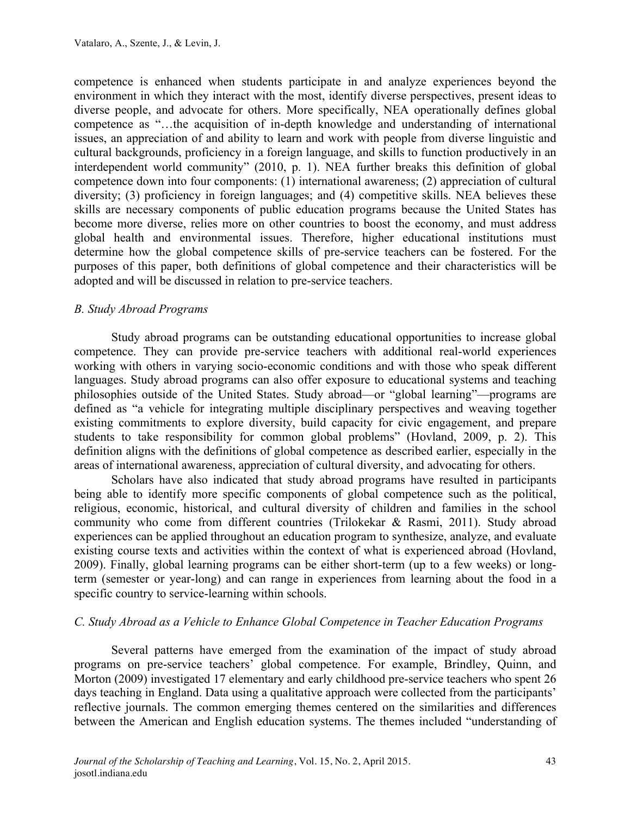competence is enhanced when students participate in and analyze experiences beyond the environment in which they interact with the most, identify diverse perspectives, present ideas to diverse people, and advocate for others. More specifically, NEA operationally defines global competence as "…the acquisition of in-depth knowledge and understanding of international issues, an appreciation of and ability to learn and work with people from diverse linguistic and cultural backgrounds, proficiency in a foreign language, and skills to function productively in an interdependent world community" (2010, p. 1). NEA further breaks this definition of global competence down into four components: (1) international awareness; (2) appreciation of cultural diversity; (3) proficiency in foreign languages; and (4) competitive skills. NEA believes these skills are necessary components of public education programs because the United States has become more diverse, relies more on other countries to boost the economy, and must address global health and environmental issues. Therefore, higher educational institutions must determine how the global competence skills of pre-service teachers can be fostered. For the purposes of this paper, both definitions of global competence and their characteristics will be adopted and will be discussed in relation to pre-service teachers.

#### *B. Study Abroad Programs*

Study abroad programs can be outstanding educational opportunities to increase global competence. They can provide pre-service teachers with additional real-world experiences working with others in varying socio-economic conditions and with those who speak different languages. Study abroad programs can also offer exposure to educational systems and teaching philosophies outside of the United States. Study abroad—or "global learning"—programs are defined as "a vehicle for integrating multiple disciplinary perspectives and weaving together existing commitments to explore diversity, build capacity for civic engagement, and prepare students to take responsibility for common global problems" (Hovland, 2009, p. 2). This definition aligns with the definitions of global competence as described earlier, especially in the areas of international awareness, appreciation of cultural diversity, and advocating for others.

Scholars have also indicated that study abroad programs have resulted in participants being able to identify more specific components of global competence such as the political, religious, economic, historical, and cultural diversity of children and families in the school community who come from different countries (Trilokekar & Rasmi, 2011). Study abroad experiences can be applied throughout an education program to synthesize, analyze, and evaluate existing course texts and activities within the context of what is experienced abroad (Hovland, 2009). Finally, global learning programs can be either short-term (up to a few weeks) or longterm (semester or year-long) and can range in experiences from learning about the food in a specific country to service-learning within schools.

#### *C. Study Abroad as a Vehicle to Enhance Global Competence in Teacher Education Programs*

Several patterns have emerged from the examination of the impact of study abroad programs on pre-service teachers' global competence. For example, Brindley, Quinn, and Morton (2009) investigated 17 elementary and early childhood pre-service teachers who spent 26 days teaching in England. Data using a qualitative approach were collected from the participants' reflective journals. The common emerging themes centered on the similarities and differences between the American and English education systems. The themes included "understanding of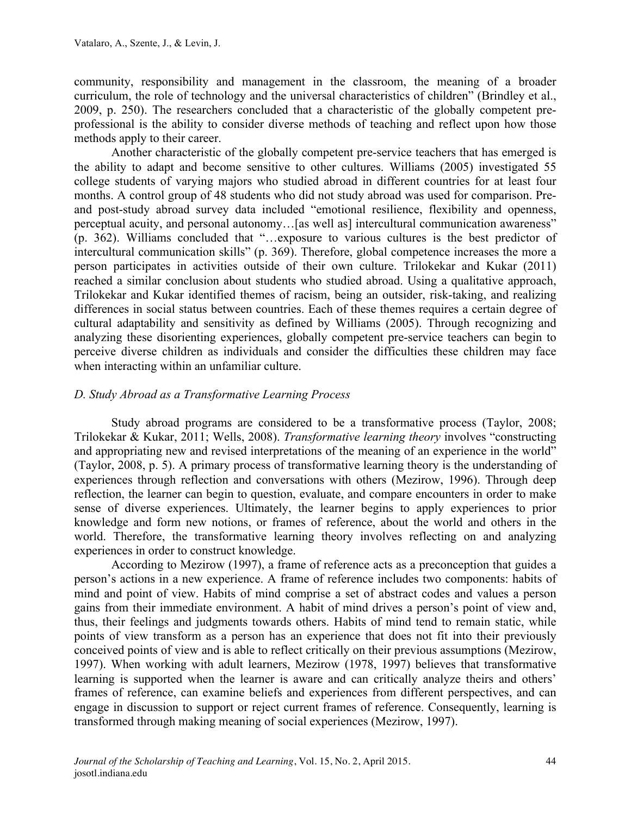community, responsibility and management in the classroom, the meaning of a broader curriculum, the role of technology and the universal characteristics of children" (Brindley et al., 2009, p. 250). The researchers concluded that a characteristic of the globally competent preprofessional is the ability to consider diverse methods of teaching and reflect upon how those methods apply to their career.

Another characteristic of the globally competent pre-service teachers that has emerged is the ability to adapt and become sensitive to other cultures. Williams (2005) investigated 55 college students of varying majors who studied abroad in different countries for at least four months. A control group of 48 students who did not study abroad was used for comparison. Preand post-study abroad survey data included "emotional resilience, flexibility and openness, perceptual acuity, and personal autonomy…[as well as] intercultural communication awareness" (p. 362). Williams concluded that "…exposure to various cultures is the best predictor of intercultural communication skills" (p. 369). Therefore, global competence increases the more a person participates in activities outside of their own culture. Trilokekar and Kukar (2011) reached a similar conclusion about students who studied abroad. Using a qualitative approach, Trilokekar and Kukar identified themes of racism, being an outsider, risk-taking, and realizing differences in social status between countries. Each of these themes requires a certain degree of cultural adaptability and sensitivity as defined by Williams (2005). Through recognizing and analyzing these disorienting experiences, globally competent pre-service teachers can begin to perceive diverse children as individuals and consider the difficulties these children may face when interacting within an unfamiliar culture.

# *D. Study Abroad as a Transformative Learning Process*

Study abroad programs are considered to be a transformative process (Taylor, 2008; Trilokekar & Kukar, 2011; Wells, 2008). *Transformative learning theory* involves "constructing and appropriating new and revised interpretations of the meaning of an experience in the world" (Taylor, 2008, p. 5). A primary process of transformative learning theory is the understanding of experiences through reflection and conversations with others (Mezirow, 1996). Through deep reflection, the learner can begin to question, evaluate, and compare encounters in order to make sense of diverse experiences. Ultimately, the learner begins to apply experiences to prior knowledge and form new notions, or frames of reference, about the world and others in the world. Therefore, the transformative learning theory involves reflecting on and analyzing experiences in order to construct knowledge.

According to Mezirow (1997), a frame of reference acts as a preconception that guides a person's actions in a new experience. A frame of reference includes two components: habits of mind and point of view. Habits of mind comprise a set of abstract codes and values a person gains from their immediate environment. A habit of mind drives a person's point of view and, thus, their feelings and judgments towards others. Habits of mind tend to remain static, while points of view transform as a person has an experience that does not fit into their previously conceived points of view and is able to reflect critically on their previous assumptions (Mezirow, 1997). When working with adult learners, Mezirow (1978, 1997) believes that transformative learning is supported when the learner is aware and can critically analyze theirs and others' frames of reference, can examine beliefs and experiences from different perspectives, and can engage in discussion to support or reject current frames of reference. Consequently, learning is transformed through making meaning of social experiences (Mezirow, 1997).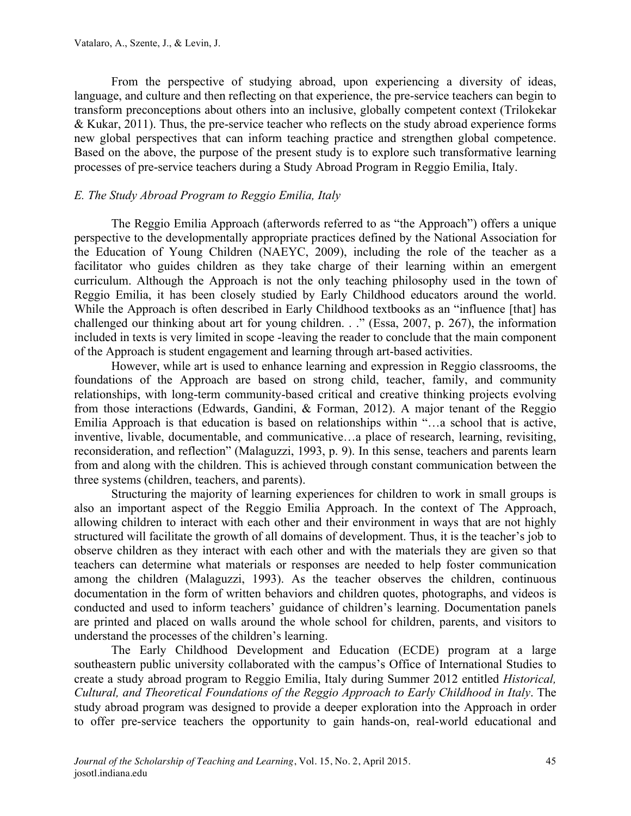From the perspective of studying abroad, upon experiencing a diversity of ideas, language, and culture and then reflecting on that experience, the pre-service teachers can begin to transform preconceptions about others into an inclusive, globally competent context (Trilokekar & Kukar, 2011). Thus, the pre-service teacher who reflects on the study abroad experience forms new global perspectives that can inform teaching practice and strengthen global competence. Based on the above, the purpose of the present study is to explore such transformative learning processes of pre-service teachers during a Study Abroad Program in Reggio Emilia, Italy.

#### *E. The Study Abroad Program to Reggio Emilia, Italy*

The Reggio Emilia Approach (afterwords referred to as "the Approach") offers a unique perspective to the developmentally appropriate practices defined by the National Association for the Education of Young Children (NAEYC, 2009), including the role of the teacher as a facilitator who guides children as they take charge of their learning within an emergent curriculum. Although the Approach is not the only teaching philosophy used in the town of Reggio Emilia, it has been closely studied by Early Childhood educators around the world. While the Approach is often described in Early Childhood textbooks as an "influence [that] has challenged our thinking about art for young children. . ." (Essa, 2007, p. 267), the information included in texts is very limited in scope -leaving the reader to conclude that the main component of the Approach is student engagement and learning through art-based activities.

However, while art is used to enhance learning and expression in Reggio classrooms, the foundations of the Approach are based on strong child, teacher, family, and community relationships, with long-term community-based critical and creative thinking projects evolving from those interactions (Edwards, Gandini, & Forman, 2012). A major tenant of the Reggio Emilia Approach is that education is based on relationships within "…a school that is active, inventive, livable, documentable, and communicative…a place of research, learning, revisiting, reconsideration, and reflection" (Malaguzzi, 1993, p. 9). In this sense, teachers and parents learn from and along with the children. This is achieved through constant communication between the three systems (children, teachers, and parents).

Structuring the majority of learning experiences for children to work in small groups is also an important aspect of the Reggio Emilia Approach. In the context of The Approach, allowing children to interact with each other and their environment in ways that are not highly structured will facilitate the growth of all domains of development. Thus, it is the teacher's job to observe children as they interact with each other and with the materials they are given so that teachers can determine what materials or responses are needed to help foster communication among the children (Malaguzzi, 1993). As the teacher observes the children, continuous documentation in the form of written behaviors and children quotes, photographs, and videos is conducted and used to inform teachers' guidance of children's learning. Documentation panels are printed and placed on walls around the whole school for children, parents, and visitors to understand the processes of the children's learning.

The Early Childhood Development and Education (ECDE) program at a large southeastern public university collaborated with the campus's Office of International Studies to create a study abroad program to Reggio Emilia, Italy during Summer 2012 entitled *Historical, Cultural, and Theoretical Foundations of the Reggio Approach to Early Childhood in Italy*. The study abroad program was designed to provide a deeper exploration into the Approach in order to offer pre-service teachers the opportunity to gain hands-on, real-world educational and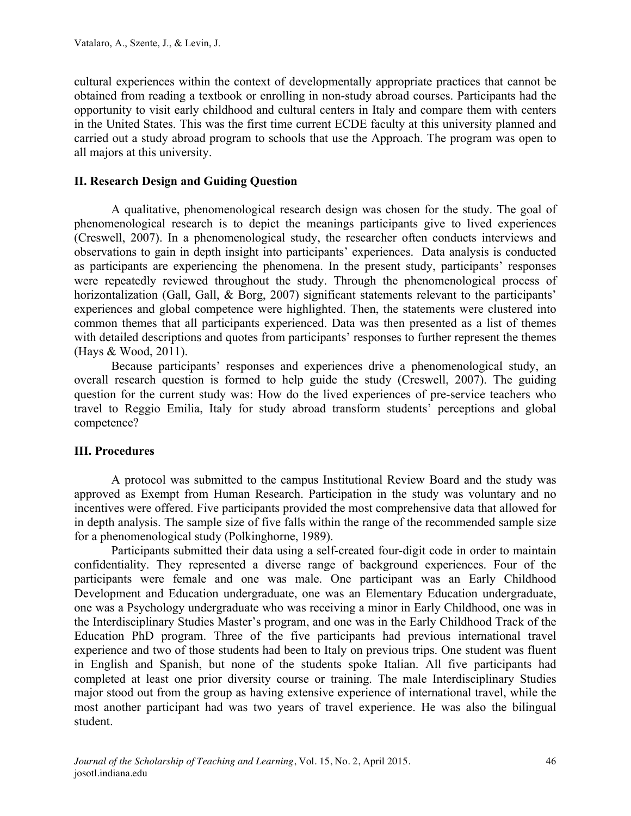cultural experiences within the context of developmentally appropriate practices that cannot be obtained from reading a textbook or enrolling in non-study abroad courses. Participants had the opportunity to visit early childhood and cultural centers in Italy and compare them with centers in the United States. This was the first time current ECDE faculty at this university planned and carried out a study abroad program to schools that use the Approach. The program was open to all majors at this university.

#### **II. Research Design and Guiding Question**

A qualitative, phenomenological research design was chosen for the study. The goal of phenomenological research is to depict the meanings participants give to lived experiences (Creswell, 2007). In a phenomenological study, the researcher often conducts interviews and observations to gain in depth insight into participants' experiences. Data analysis is conducted as participants are experiencing the phenomena. In the present study, participants' responses were repeatedly reviewed throughout the study. Through the phenomenological process of horizontalization (Gall, Gall, & Borg, 2007) significant statements relevant to the participants' experiences and global competence were highlighted. Then, the statements were clustered into common themes that all participants experienced. Data was then presented as a list of themes with detailed descriptions and quotes from participants' responses to further represent the themes (Hays & Wood, 2011).

Because participants' responses and experiences drive a phenomenological study, an overall research question is formed to help guide the study (Creswell, 2007). The guiding question for the current study was: How do the lived experiences of pre-service teachers who travel to Reggio Emilia, Italy for study abroad transform students' perceptions and global competence?

#### **III. Procedures**

A protocol was submitted to the campus Institutional Review Board and the study was approved as Exempt from Human Research. Participation in the study was voluntary and no incentives were offered. Five participants provided the most comprehensive data that allowed for in depth analysis. The sample size of five falls within the range of the recommended sample size for a phenomenological study (Polkinghorne, 1989).

Participants submitted their data using a self-created four-digit code in order to maintain confidentiality. They represented a diverse range of background experiences. Four of the participants were female and one was male. One participant was an Early Childhood Development and Education undergraduate, one was an Elementary Education undergraduate, one was a Psychology undergraduate who was receiving a minor in Early Childhood, one was in the Interdisciplinary Studies Master's program, and one was in the Early Childhood Track of the Education PhD program. Three of the five participants had previous international travel experience and two of those students had been to Italy on previous trips. One student was fluent in English and Spanish, but none of the students spoke Italian. All five participants had completed at least one prior diversity course or training. The male Interdisciplinary Studies major stood out from the group as having extensive experience of international travel, while the most another participant had was two years of travel experience. He was also the bilingual student.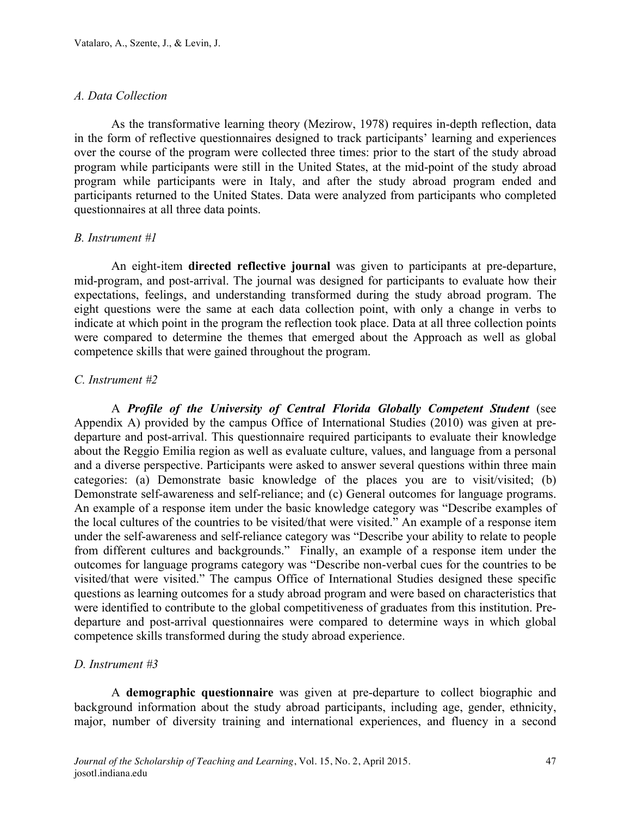#### *A. Data Collection*

As the transformative learning theory (Mezirow, 1978) requires in-depth reflection, data in the form of reflective questionnaires designed to track participants' learning and experiences over the course of the program were collected three times: prior to the start of the study abroad program while participants were still in the United States, at the mid-point of the study abroad program while participants were in Italy, and after the study abroad program ended and participants returned to the United States. Data were analyzed from participants who completed questionnaires at all three data points.

# *B. Instrument #1*

An eight-item **directed reflective journal** was given to participants at pre-departure, mid-program, and post-arrival. The journal was designed for participants to evaluate how their expectations, feelings, and understanding transformed during the study abroad program. The eight questions were the same at each data collection point, with only a change in verbs to indicate at which point in the program the reflection took place. Data at all three collection points were compared to determine the themes that emerged about the Approach as well as global competence skills that were gained throughout the program.

#### *C. Instrument #2*

A *Profile of the University of Central Florida Globally Competent Student* (see Appendix A) provided by the campus Office of International Studies (2010) was given at predeparture and post-arrival. This questionnaire required participants to evaluate their knowledge about the Reggio Emilia region as well as evaluate culture, values, and language from a personal and a diverse perspective. Participants were asked to answer several questions within three main categories: (a) Demonstrate basic knowledge of the places you are to visit/visited; (b) Demonstrate self-awareness and self-reliance; and (c) General outcomes for language programs. An example of a response item under the basic knowledge category was "Describe examples of the local cultures of the countries to be visited/that were visited." An example of a response item under the self-awareness and self-reliance category was "Describe your ability to relate to people from different cultures and backgrounds." Finally, an example of a response item under the outcomes for language programs category was "Describe non-verbal cues for the countries to be visited/that were visited." The campus Office of International Studies designed these specific questions as learning outcomes for a study abroad program and were based on characteristics that were identified to contribute to the global competitiveness of graduates from this institution. Predeparture and post-arrival questionnaires were compared to determine ways in which global competence skills transformed during the study abroad experience.

# *D. Instrument #3*

A **demographic questionnaire** was given at pre-departure to collect biographic and background information about the study abroad participants, including age, gender, ethnicity, major, number of diversity training and international experiences, and fluency in a second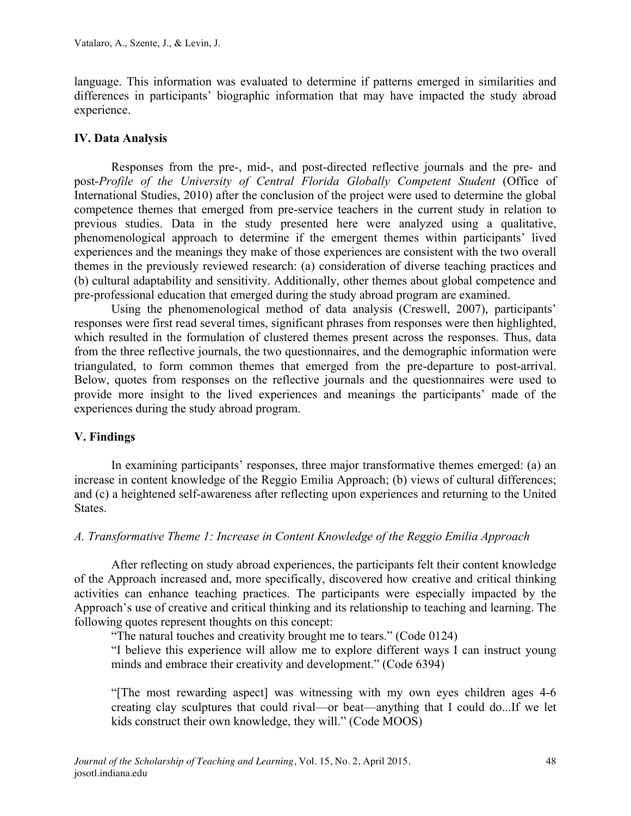language. This information was evaluated to determine if patterns emerged in similarities and differences in participants' biographic information that may have impacted the study abroad experience.

# **IV. Data Analysis**

Responses from the pre-, mid-, and post-directed reflective journals and the pre- and post-*Profile of the University of Central Florida Globally Competent Student* (Office of International Studies, 2010) after the conclusion of the project were used to determine the global competence themes that emerged from pre-service teachers in the current study in relation to previous studies. Data in the study presented here were analyzed using a qualitative, phenomenological approach to determine if the emergent themes within participants' lived experiences and the meanings they make of those experiences are consistent with the two overall themes in the previously reviewed research: (a) consideration of diverse teaching practices and (b) cultural adaptability and sensitivity. Additionally, other themes about global competence and pre-professional education that emerged during the study abroad program are examined.

Using the phenomenological method of data analysis (Creswell, 2007), participants' responses were first read several times, significant phrases from responses were then highlighted, which resulted in the formulation of clustered themes present across the responses. Thus, data from the three reflective journals, the two questionnaires, and the demographic information were triangulated, to form common themes that emerged from the pre-departure to post-arrival. Below, quotes from responses on the reflective journals and the questionnaires were used to provide more insight to the lived experiences and meanings the participants' made of the experiences during the study abroad program.

#### **V. Findings**

In examining participants' responses, three major transformative themes emerged: (a) an increase in content knowledge of the Reggio Emilia Approach; (b) views of cultural differences; and (c) a heightened self-awareness after reflecting upon experiences and returning to the United States.

#### *A. Transformative Theme 1: Increase in Content Knowledge of the Reggio Emilia Approach*

After reflecting on study abroad experiences, the participants felt their content knowledge of the Approach increased and, more specifically, discovered how creative and critical thinking activities can enhance teaching practices. The participants were especially impacted by the Approach's use of creative and critical thinking and its relationship to teaching and learning. The following quotes represent thoughts on this concept:

"The natural touches and creativity brought me to tears." (Code 0124)

"I believe this experience will allow me to explore different ways I can instruct young minds and embrace their creativity and development." (Code 6394)

"[The most rewarding aspect] was witnessing with my own eyes children ages 4-6 creating clay sculptures that could rival—or beat—anything that I could do...If we let kids construct their own knowledge, they will." (Code MOOS)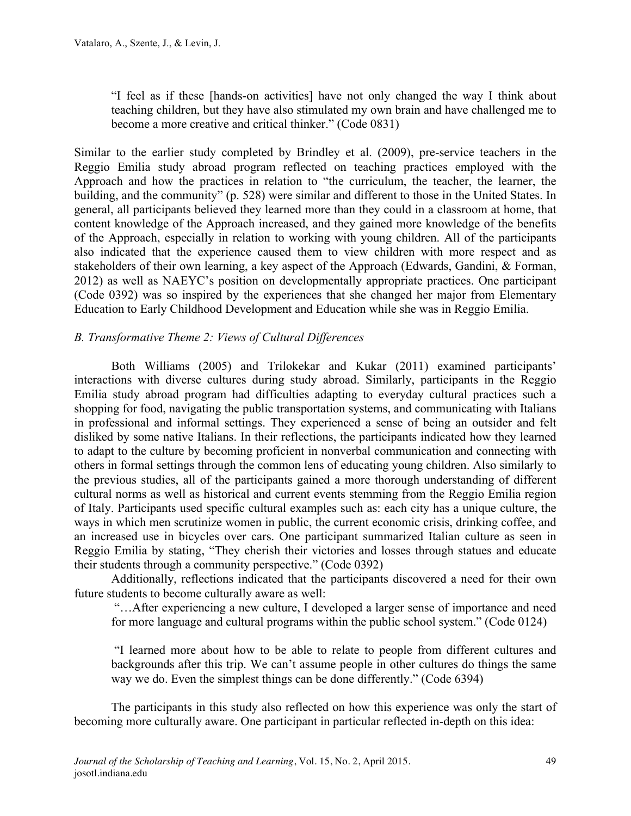"I feel as if these [hands-on activities] have not only changed the way I think about teaching children, but they have also stimulated my own brain and have challenged me to become a more creative and critical thinker." (Code 0831)

Similar to the earlier study completed by Brindley et al. (2009), pre-service teachers in the Reggio Emilia study abroad program reflected on teaching practices employed with the Approach and how the practices in relation to "the curriculum, the teacher, the learner, the building, and the community" (p. 528) were similar and different to those in the United States. In general, all participants believed they learned more than they could in a classroom at home, that content knowledge of the Approach increased, and they gained more knowledge of the benefits of the Approach, especially in relation to working with young children. All of the participants also indicated that the experience caused them to view children with more respect and as stakeholders of their own learning, a key aspect of the Approach (Edwards, Gandini, & Forman, 2012) as well as NAEYC's position on developmentally appropriate practices. One participant (Code 0392) was so inspired by the experiences that she changed her major from Elementary Education to Early Childhood Development and Education while she was in Reggio Emilia.

# *B. Transformative Theme 2: Views of Cultural Differences*

Both Williams (2005) and Trilokekar and Kukar (2011) examined participants' interactions with diverse cultures during study abroad. Similarly, participants in the Reggio Emilia study abroad program had difficulties adapting to everyday cultural practices such a shopping for food, navigating the public transportation systems, and communicating with Italians in professional and informal settings. They experienced a sense of being an outsider and felt disliked by some native Italians. In their reflections, the participants indicated how they learned to adapt to the culture by becoming proficient in nonverbal communication and connecting with others in formal settings through the common lens of educating young children. Also similarly to the previous studies, all of the participants gained a more thorough understanding of different cultural norms as well as historical and current events stemming from the Reggio Emilia region of Italy. Participants used specific cultural examples such as: each city has a unique culture, the ways in which men scrutinize women in public, the current economic crisis, drinking coffee, and an increased use in bicycles over cars. One participant summarized Italian culture as seen in Reggio Emilia by stating, "They cherish their victories and losses through statues and educate their students through a community perspective." (Code 0392)

Additionally, reflections indicated that the participants discovered a need for their own future students to become culturally aware as well:

"…After experiencing a new culture, I developed a larger sense of importance and need for more language and cultural programs within the public school system." (Code 0124)

"I learned more about how to be able to relate to people from different cultures and backgrounds after this trip. We can't assume people in other cultures do things the same way we do. Even the simplest things can be done differently." (Code 6394)

The participants in this study also reflected on how this experience was only the start of becoming more culturally aware. One participant in particular reflected in-depth on this idea: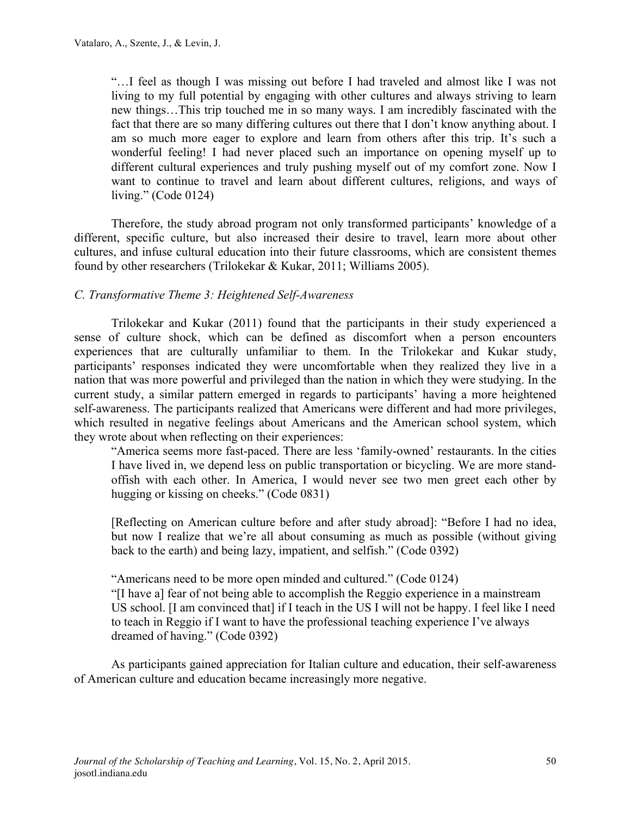"…I feel as though I was missing out before I had traveled and almost like I was not living to my full potential by engaging with other cultures and always striving to learn new things…This trip touched me in so many ways. I am incredibly fascinated with the fact that there are so many differing cultures out there that I don't know anything about. I am so much more eager to explore and learn from others after this trip. It's such a wonderful feeling! I had never placed such an importance on opening myself up to different cultural experiences and truly pushing myself out of my comfort zone. Now I want to continue to travel and learn about different cultures, religions, and ways of living." (Code 0124)

Therefore, the study abroad program not only transformed participants' knowledge of a different, specific culture, but also increased their desire to travel, learn more about other cultures, and infuse cultural education into their future classrooms, which are consistent themes found by other researchers (Trilokekar & Kukar, 2011; Williams 2005).

# *C. Transformative Theme 3: Heightened Self-Awareness*

Trilokekar and Kukar (2011) found that the participants in their study experienced a sense of culture shock, which can be defined as discomfort when a person encounters experiences that are culturally unfamiliar to them. In the Trilokekar and Kukar study, participants' responses indicated they were uncomfortable when they realized they live in a nation that was more powerful and privileged than the nation in which they were studying. In the current study, a similar pattern emerged in regards to participants' having a more heightened self-awareness. The participants realized that Americans were different and had more privileges, which resulted in negative feelings about Americans and the American school system, which they wrote about when reflecting on their experiences:

"America seems more fast-paced. There are less 'family-owned' restaurants. In the cities I have lived in, we depend less on public transportation or bicycling. We are more standoffish with each other. In America, I would never see two men greet each other by hugging or kissing on cheeks." (Code 0831)

[Reflecting on American culture before and after study abroad]: "Before I had no idea, but now I realize that we're all about consuming as much as possible (without giving back to the earth) and being lazy, impatient, and selfish." (Code 0392)

"Americans need to be more open minded and cultured." (Code 0124) "[I have a] fear of not being able to accomplish the Reggio experience in a mainstream US school. [I am convinced that] if I teach in the US I will not be happy. I feel like I need to teach in Reggio if I want to have the professional teaching experience I've always dreamed of having." (Code 0392)

As participants gained appreciation for Italian culture and education, their self-awareness of American culture and education became increasingly more negative.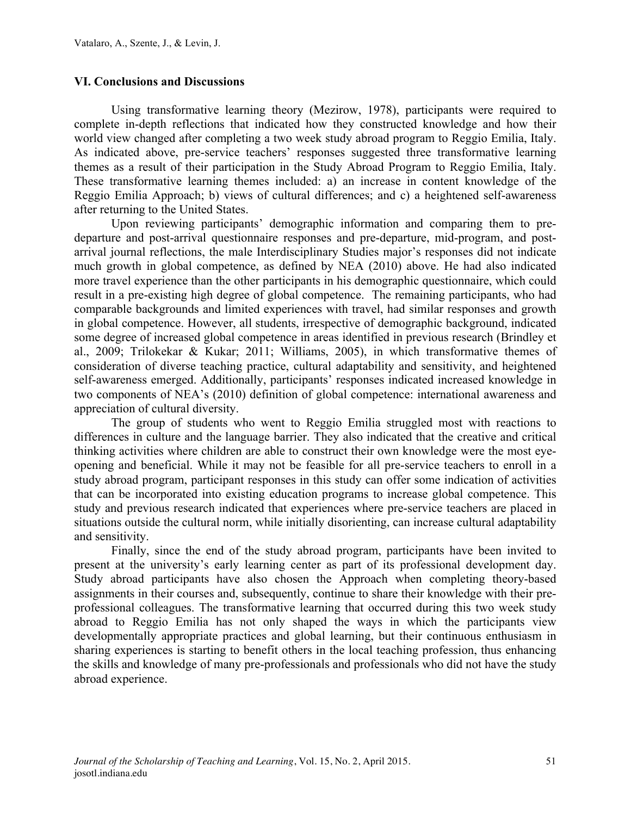#### **VI. Conclusions and Discussions**

Using transformative learning theory (Mezirow, 1978), participants were required to complete in-depth reflections that indicated how they constructed knowledge and how their world view changed after completing a two week study abroad program to Reggio Emilia, Italy. As indicated above, pre-service teachers' responses suggested three transformative learning themes as a result of their participation in the Study Abroad Program to Reggio Emilia, Italy. These transformative learning themes included: a) an increase in content knowledge of the Reggio Emilia Approach; b) views of cultural differences; and c) a heightened self-awareness after returning to the United States.

Upon reviewing participants' demographic information and comparing them to predeparture and post-arrival questionnaire responses and pre-departure, mid-program, and postarrival journal reflections, the male Interdisciplinary Studies major's responses did not indicate much growth in global competence, as defined by NEA (2010) above. He had also indicated more travel experience than the other participants in his demographic questionnaire, which could result in a pre-existing high degree of global competence. The remaining participants, who had comparable backgrounds and limited experiences with travel, had similar responses and growth in global competence. However, all students, irrespective of demographic background, indicated some degree of increased global competence in areas identified in previous research (Brindley et al., 2009; Trilokekar & Kukar; 2011; Williams, 2005), in which transformative themes of consideration of diverse teaching practice, cultural adaptability and sensitivity, and heightened self-awareness emerged. Additionally, participants' responses indicated increased knowledge in two components of NEA's (2010) definition of global competence: international awareness and appreciation of cultural diversity.

The group of students who went to Reggio Emilia struggled most with reactions to differences in culture and the language barrier. They also indicated that the creative and critical thinking activities where children are able to construct their own knowledge were the most eyeopening and beneficial. While it may not be feasible for all pre-service teachers to enroll in a study abroad program, participant responses in this study can offer some indication of activities that can be incorporated into existing education programs to increase global competence. This study and previous research indicated that experiences where pre-service teachers are placed in situations outside the cultural norm, while initially disorienting, can increase cultural adaptability and sensitivity.

Finally, since the end of the study abroad program, participants have been invited to present at the university's early learning center as part of its professional development day. Study abroad participants have also chosen the Approach when completing theory-based assignments in their courses and, subsequently, continue to share their knowledge with their preprofessional colleagues. The transformative learning that occurred during this two week study abroad to Reggio Emilia has not only shaped the ways in which the participants view developmentally appropriate practices and global learning, but their continuous enthusiasm in sharing experiences is starting to benefit others in the local teaching profession, thus enhancing the skills and knowledge of many pre-professionals and professionals who did not have the study abroad experience.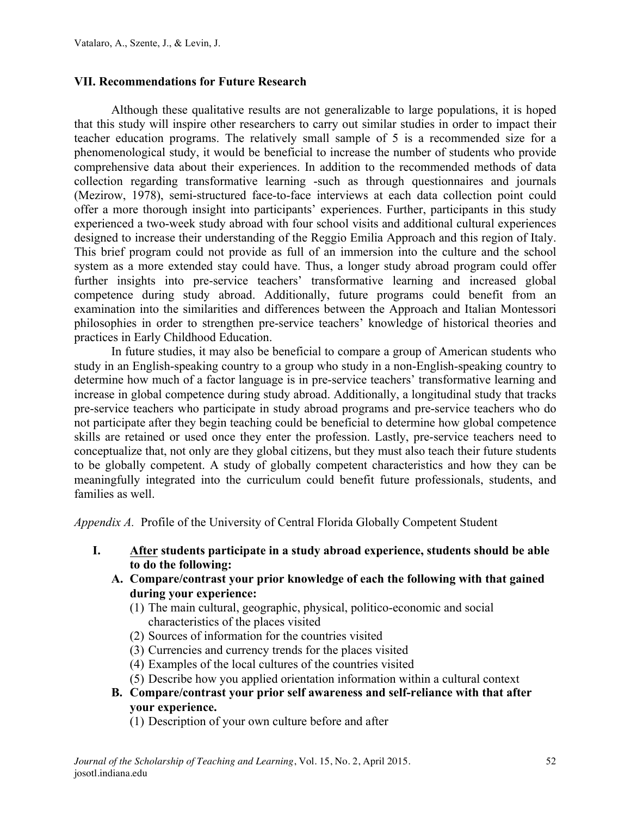#### **VII. Recommendations for Future Research**

Although these qualitative results are not generalizable to large populations, it is hoped that this study will inspire other researchers to carry out similar studies in order to impact their teacher education programs. The relatively small sample of 5 is a recommended size for a phenomenological study, it would be beneficial to increase the number of students who provide comprehensive data about their experiences. In addition to the recommended methods of data collection regarding transformative learning -such as through questionnaires and journals (Mezirow, 1978), semi-structured face-to-face interviews at each data collection point could offer a more thorough insight into participants' experiences. Further, participants in this study experienced a two-week study abroad with four school visits and additional cultural experiences designed to increase their understanding of the Reggio Emilia Approach and this region of Italy. This brief program could not provide as full of an immersion into the culture and the school system as a more extended stay could have. Thus, a longer study abroad program could offer further insights into pre-service teachers' transformative learning and increased global competence during study abroad. Additionally, future programs could benefit from an examination into the similarities and differences between the Approach and Italian Montessori philosophies in order to strengthen pre-service teachers' knowledge of historical theories and practices in Early Childhood Education.

In future studies, it may also be beneficial to compare a group of American students who study in an English-speaking country to a group who study in a non-English-speaking country to determine how much of a factor language is in pre-service teachers' transformative learning and increase in global competence during study abroad. Additionally, a longitudinal study that tracks pre-service teachers who participate in study abroad programs and pre-service teachers who do not participate after they begin teaching could be beneficial to determine how global competence skills are retained or used once they enter the profession. Lastly, pre-service teachers need to conceptualize that, not only are they global citizens, but they must also teach their future students to be globally competent. A study of globally competent characteristics and how they can be meaningfully integrated into the curriculum could benefit future professionals, students, and families as well.

*Appendix A.*Profile of the University of Central Florida Globally Competent Student

- **I. After students participate in a study abroad experience, students should be able to do the following:**
	- **A. Compare/contrast your prior knowledge of each the following with that gained during your experience:**
		- (1) The main cultural, geographic, physical, politico-economic and social characteristics of the places visited
		- (2) Sources of information for the countries visited
		- (3) Currencies and currency trends for the places visited
		- (4) Examples of the local cultures of the countries visited
		- (5) Describe how you applied orientation information within a cultural context
	- **B. Compare/contrast your prior self awareness and self-reliance with that after your experience.**
		- (1) Description of your own culture before and after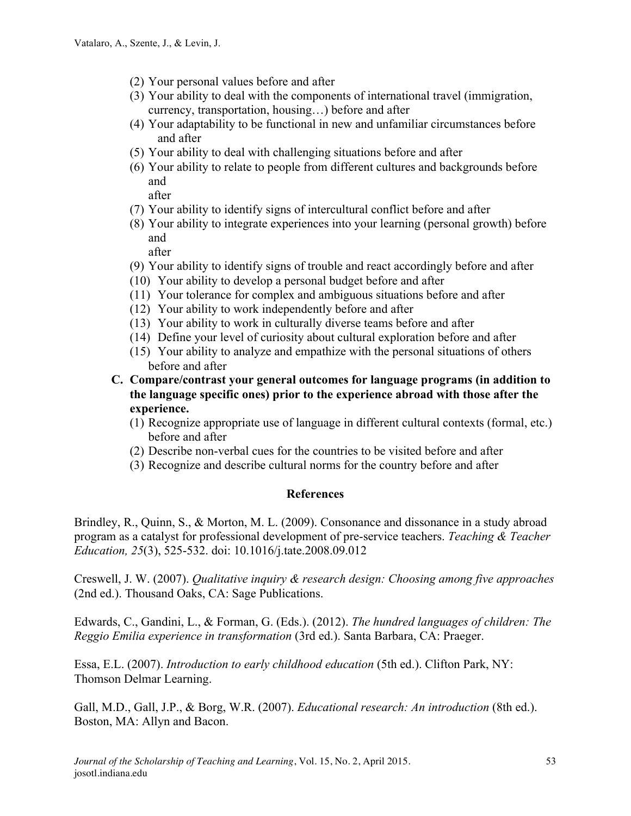- (2) Your personal values before and after
- (3) Your ability to deal with the components of international travel (immigration, currency, transportation, housing…) before and after
- (4) Your adaptability to be functional in new and unfamiliar circumstances before and after
- (5) Your ability to deal with challenging situations before and after
- (6) Your ability to relate to people from different cultures and backgrounds before and

after

- (7) Your ability to identify signs of intercultural conflict before and after
- (8) Your ability to integrate experiences into your learning (personal growth) before and

after

- (9) Your ability to identify signs of trouble and react accordingly before and after
- (10) Your ability to develop a personal budget before and after
- (11) Your tolerance for complex and ambiguous situations before and after
- (12) Your ability to work independently before and after
- (13) Your ability to work in culturally diverse teams before and after
- (14) Define your level of curiosity about cultural exploration before and after
- (15) Your ability to analyze and empathize with the personal situations of others before and after
- **C. Compare/contrast your general outcomes for language programs (in addition to the language specific ones) prior to the experience abroad with those after the experience.**
	- (1) Recognize appropriate use of language in different cultural contexts (formal, etc.) before and after
	- (2) Describe non-verbal cues for the countries to be visited before and after
	- (3) Recognize and describe cultural norms for the country before and after

#### **References**

Brindley, R., Quinn, S., & Morton, M. L. (2009). Consonance and dissonance in a study abroad program as a catalyst for professional development of pre-service teachers. *Teaching & Teacher Education, 25*(3), 525-532. doi: 10.1016/j.tate.2008.09.012

Creswell, J. W. (2007). *Qualitative inquiry & research design: Choosing among five approaches*  (2nd ed.). Thousand Oaks, CA: Sage Publications.

Edwards, C., Gandini, L., & Forman, G. (Eds.). (2012). *The hundred languages of children: The Reggio Emilia experience in transformation* (3rd ed.). Santa Barbara, CA: Praeger.

Essa, E.L. (2007). *Introduction to early childhood education* (5th ed.). Clifton Park, NY: Thomson Delmar Learning.

Gall, M.D., Gall, J.P., & Borg, W.R. (2007). *Educational research: An introduction* (8th ed.). Boston, MA: Allyn and Bacon.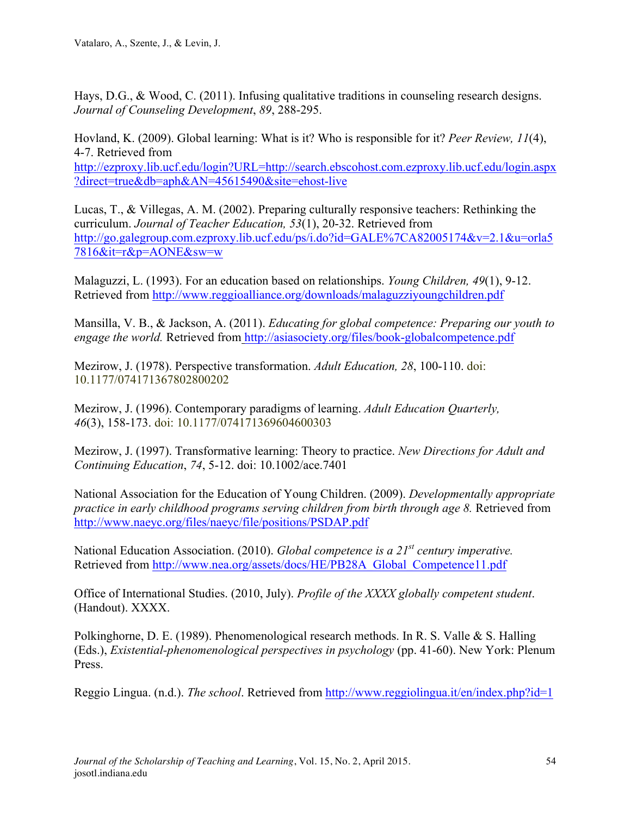Hays, D.G., & Wood, C. (2011). Infusing qualitative traditions in counseling research designs. *Journal of Counseling Development*, *89*, 288-295.

Hovland, K. (2009). Global learning: What is it? Who is responsible for it? *Peer Review, 11*(4), 4-7. Retrieved from http://ezproxy.lib.ucf.edu/login?URL=http://search.ebscohost.com.ezproxy.lib.ucf.edu/login.aspx ?direct=true&db=aph&AN=45615490&site=ehost-live

Lucas, T., & Villegas, A. M. (2002). Preparing culturally responsive teachers: Rethinking the curriculum. *Journal of Teacher Education, 53*(1), 20-32. Retrieved from http://go.galegroup.com.ezproxy.lib.ucf.edu/ps/i.do?id=GALE%7CA82005174&v=2.1&u=orla5 7816&it=r&p=AONE&sw=w

Malaguzzi, L. (1993). For an education based on relationships. *Young Children, 49*(1), 9-12. Retrieved from http://www.reggioalliance.org/downloads/malaguzziyoungchildren.pdf

Mansilla, V. B., & Jackson, A. (2011). *Educating for global competence: Preparing our youth to engage the world.* Retrieved from http://asiasociety.org/files/book-globalcompetence.pdf

Mezirow, J. (1978). Perspective transformation. *Adult Education, 28*, 100-110. doi: 10.1177/074171367802800202

Mezirow, J. (1996). Contemporary paradigms of learning. *Adult Education Quarterly, 46*(3), 158-173. doi: 10.1177/074171369604600303

Mezirow, J. (1997). Transformative learning: Theory to practice. *New Directions for Adult and Continuing Education*, *74*, 5-12. doi: 10.1002/ace.7401

National Association for the Education of Young Children. (2009). *Developmentally appropriate practice in early childhood programs serving children from birth through age 8.* Retrieved from http://www.naeyc.org/files/naeyc/file/positions/PSDAP.pdf

National Education Association. (2010). *Global competence is a 21st century imperative.* Retrieved from http://www.nea.org/assets/docs/HE/PB28A\_Global\_Competence11.pdf

Office of International Studies. (2010, July). *Profile of the XXXX globally competent student*. (Handout). XXXX.

Polkinghorne, D. E. (1989). Phenomenological research methods. In R. S. Valle & S. Halling (Eds.), *Existential-phenomenological perspectives in psychology* (pp. 41-60). New York: Plenum Press.

Reggio Lingua. (n.d.). *The school*. Retrieved from http://www.reggiolingua.it/en/index.php?id=1